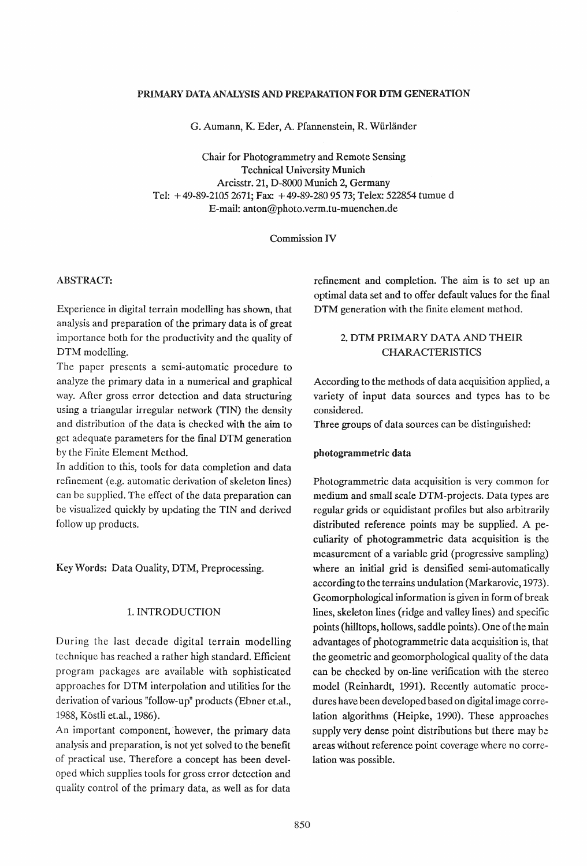#### PRIMARY DATA ANALYSIS AND PREPARATION FOR DTM GENERATION

G. Aumann, K. Eder, A. Pfannenstein, R. Würländer

Chair for Photogrammetry and Remote Sensing Technical University Munich Arcisstr. 21, D-8000 Munich 2, Germany Tel: + 49-89-21052671; Fax: + 49-89-2809573; Telex: 522854 tumue d E-mail: anton@photo.verm.tu-muenchen.de

Commission IV

#### ABSTRACT:

Experience in digital terrain modelling has shown, that analysis and preparation of the primary data is of great importance both for the productivity and the quality of DTM modelling.

The paper presents a semi-automatic procedure to analyze the primary data in a numerical and graphical way. After gross error detection and data structuring using a triangular irregular network (TIN) the density and distribution of the data is checked with the aim to get adequate parameters for the fmal DTM generation by the Finite Element Method.

In addition to this, tools for data completion and data refinement (e.g. automatic derivation of skeleton lines) can be supplied. The effect of the data preparation can be visualized quickly by updating the TIN and derived follow up products.

Key Words: Data Quality, DTM, Preprocessing.

### 1. INTRODUCTION

During the last decade digital terrain modelling technique has reached a rather high standard. Efficient program packages are available with sophisticated approaches for DTM interpolation and utilities for the derivation of various "follow-up" products (Ebner et.al., 1988, Köstli et.al., 1986).

An important component, however, the primary data analysis and preparation, is not yet solved to the benefit of practical use. Therefore a concept has been developed which supplies tools for gross error detection and quality control of the primary data, as well as for data refmement and completion. The aim is to set up an optimal data set and to offer default values for the final DTM generation with the finite element method.

## 2. DTM PRIMARY DATA AND THEIR CHARACTERISTICS

According to the methods of data acquisition applied, a variety of input data sources and types has to be considered.

Three groups of data sources can be distinguished:

#### photogrammetric data

Photogrammetric data acquisition is very common for medium and small scale DTM-projects. Data types are regular grids or equidistant profiles but also arbitrarily distributed reference points may be supplied. A peculiarity of photogrammetric data acquisition is the measurement of a variable grid (progressive sampling) where an initial grid is densified semi-automatically according to the terrains undulation (Markarovic, 1973). Geomorphological information is given in form of break lines, skeleton lines (ridge and valley lines) and specific points (hilltops, hollows, saddle points). One of the main advantages of photogrammetric data acquisition is, that the geometric and geomorphological quality of the data can be checked by on-line verification with the stereo model (Reinhardt, 1991). Recently automatic procedures have been developed based on digital image correlation algorithms (Heipke, 1990). These approaches supply very dense point distributions but there may be areas without reference point coverage where no correlation was possible.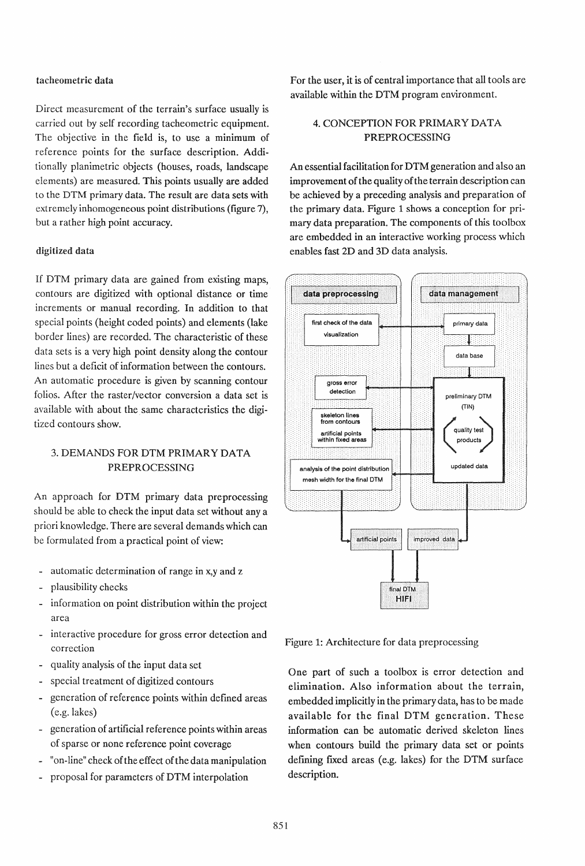#### tacheometric data

Direct measurement of the terrain's surface usually is carried out by self recording tacheometric equipment. The objective in the field is, to use a minimum of reference points for the surface description. Additionally planimetric objects (houses, roads, landscape elements) are measured. This points usually are added to the DTM primary data. The result are data sets with extremely inhomogeneous point distributions (figure 7), but a rather high point accuracy.

## digitized data

If DTM primary data are gained from existing maps, contours are digitized with optional distance or time increments or manual recording. In addition to that special points (height coded points) and elements (lake border lines) are recorded. The characteristic of these data sets is a very high point density along the contour lines but a deficit of information between the contours. An automatic procedure is given by scanning contour folios. After the raster/vector conversion a data set is available with about the same characteristics the digitized contours show.

# 3. DEMANDS FOR DTM PRIMARY DATA PREPROCESSING

An approach for DTM primary data preprocessing should be able to check the input data set without any a priori knowledge. There are several demands which can be formulated from a practical point of view:

- automatic determination of range in x,y and z
- plausibility checks
- information on point distribution within the project area
- interactive procedure for gross error detection and correction
- quality analysis of the input data set
- special treatment of digitized contours
- generation of reference points within defined areas (e.g. lakes)
- generation of artificial reference points within areas of sparse or none reference point coverage
- "on-line" check of the effect of the data manipulation
- proposal for parameters of DTM interpolation

For the user, it is of central importance that all tools are available within the DTM program environment.

# 4. CONCEPTION FOR PRIMARY DATA PREPROCESSING

An essential facilitation for DTM generation and also an improvement of the quality of the terrain description can be achieved by a preceding analysis and preparation of the primary data. Figure 1 shows a conception for primary data preparation. The components of this toolbox are embedded in an interactive working process which enables fast 2D and 3D data analysis.



Figure 1: Architecture for data preprocessing

One part of such a toolbox is error detection and elimination. Also information about the terrain, embedded implicitly in the primary data, has to be made available for the final DTM generation. These information can be automatic derived skeleton lines when contours build the primary data set or points defining fixed areas (e.g. lakes) for the DTM surface description.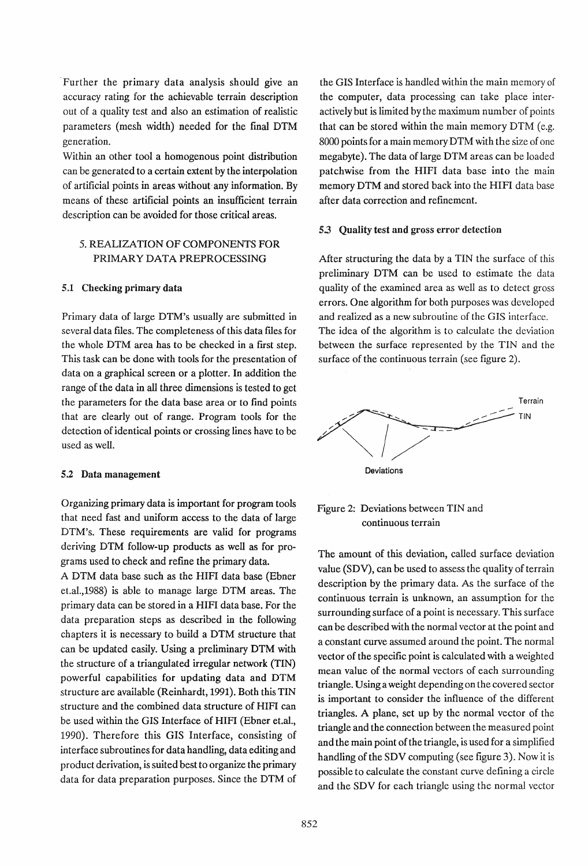Further the primary data analysis should give an accuracy rating for the achievable terrain description out of a quality test and also an estimation of realistic parameters (mesh width) needed for the fmal DTM generation.

Within an other tool a homogenous point distribution can be generated to a certain extent by the interpolation of artificial points in areas without· any information. By means of these artificial points an insufficient terrain description can be avoided for those critical areas.

# 5. REALIZATION OF COMPONENTS FOR PRIMARY DATA PREPROCESSING

#### 5.1 Checking primary data

Primary data of large DTM's usually are submitted in several data files. The completeness of this data files for the whole DTM area has to be checked in a first step. This task can be done with tools for the presentation of data on a graphical screen or a plotter. In addition the range of the data in all three dimensions is tested to get the parameters for the data base area or to find points that are clearly out of range. Program tools for the detection of identical points or crossing lines have to be used as well.

## 5.2 Data management

Organizing primary data is important for program tools that need fast and uniform access to the data of large DTM's. These requirements are valid for programs deriving DTM follow-up products as well as for programs used to check and refme the primary data.

A DTM data base such as the HIFI data base (Ebner et.al.,1988) is able to manage large DTM areas. The primary data can be stored in a HIFI data base. For the data preparation steps as described in the following chapters it is necessary to build a DTM structure that can be updated easily. Using a preliminary DTM with the structure of a triangulated irregular network (TIN) powerful capabilities for updating data and DTM structure are available (Reinhardt, 1991). Both this TIN structure and the combined data structure of HIFI can be used within the GIS Interface of HIFI (Ebner et.al., 1990). Therefore this GIS Interface, consisting of interface subroutines for data handling, data editing and product derivation, is suited best to organize the primary data for data preparation purposes. Since the DTM of the GIS Interface is handled within the main memory of the computer, data processing can take place interactively but is limited by the maximum number of points that can be stored within the main memory DTM (e.g. 8000 points for a main memory DTM with the size of one megabyte). The data of large DTM areas can be loaded patchwise from the HIFI data base into the main memory DTM and stored back into the HIFI data base after data correction and refmement.

### 5.3 Quality test and gross error detection

After structuring the data by a TIN the surface of this preliminary DTM can be used to estimate the data quality of the examined area as well as to detect gross errors. One algorithm for both purposes was developed and realized as a new subroutine of the GIS interface. The idea of the algorithm is to calculate the deviation between the surface represented by the TIN and the surface of the continuous terrain (see figure 2).





The amount of this deviation, called surface deviation value (SDV), can be used to assess the quality of terrain description by the primary data. As the surface of the continuous terrain is unknown, an assumption for the surrounding surface of a point is necessary. This surface can be described with the normal vector at the point and a constant curve assumed around the point. The normal vector of the specific point is calculated with a weighted mean value of the normal vectors of each surrounding triangle. Using a weight depending on the covered sector is important to consider the influence of the different triangles. A plane, set up by the normal vector of the triangle and the connection between the measured point and the main point of the triangle, is used for a simplified handling of the SDV computing (see figure 3). Now it is possible to calculate the constant curve defining a circle and the SDV for each triangle using the normal vector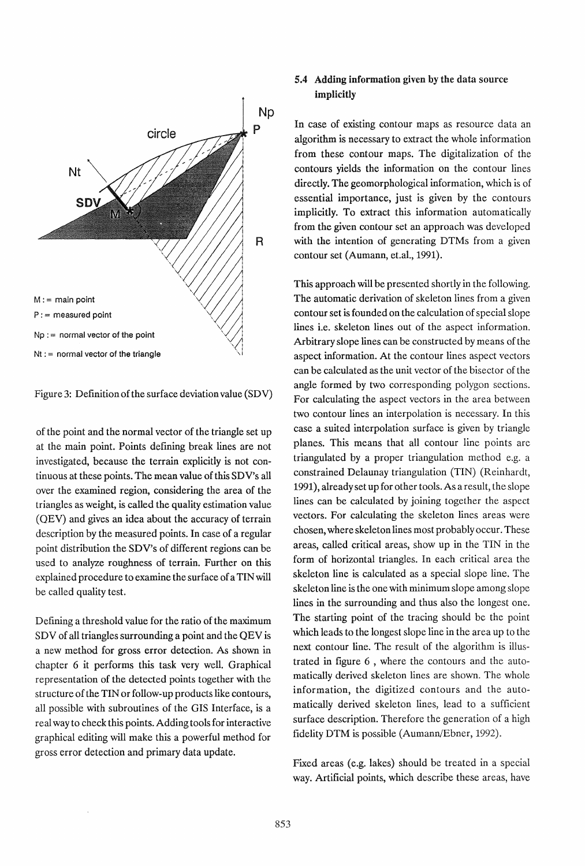

Figure 3: Definition of the surface deviation value (SD V)

of the point and the normal vector of the triangle set up at the main point. Points defining break lines are not investigated, because the terrain explicitly is not continuous at these points. The mean value of this SDV's all over the examined region, considering the area of the triangles as weight, is called the quality estimation value (QEV) and gives an idea about the accuracy of terrain description by the measured points. In case of a regular point distribution the SDV's of different regions can be used to analyze roughness of terrain. Further on this explained procedure to examine the surface of a TIN will be called quality test.

Defining a threshold value for the ratio of the maximum SDV of all triangles surrounding a point and the QEV is a new method for gross error detection. As shown in chapter 6 it performs this task very well. Graphical representation of the detected points together with the structure of the TIN or follow-up products like contours, all possible with subroutines of the GIS Interface, is a real way to check this points. Adding tools for interactive graphical editing will make this a powerful method for gross error detection and primary data update.

## 5.4 Adding information given by the data source implicitly

In case of existing contour maps as resource data an algorithm is necessary to extract the whole information from these contour maps. The digitalization of the contours yields the information on the contour lines directly. The geomorphological information, which is of essential importance, just is given by the contours implicitly. To extract this information automatically from the given contour set an approach was developed with the intention of generating DTMs from a given contour set (Aumann, et.al., 1991).

This approach will be presented shortly in the following. The automatic derivation of skeleton lines from a given contour set is founded on the calculation of special slope lines i.e. skeleton lines out of the aspect information. Arbitrary slope lines can be constructed by means of the aspect information. At the contour lines aspect vectors can be calculated as the unit vector of the bisector of the angle formed by two corresponding polygon sections. For calculating the aspect vectors in the area between two contour lines an interpolation is necessary. In this case a suited interpolation surface is given by triangle planes. This means that all contour line points are triangulated by a proper triangulation method e.g. a constrained Delaunay triangulation (TIN) (Reinhardt, 1991), already set up for other tools. As a result, the slope lines can be calculated by joining together the aspect vectors. For calculating the skeleton lines areas were chosen, where skeleton lines most probably occur. These areas, called critical areas, show up in the TIN in the form of horizontal triangles. In each critical area the skeleton line is calculated as a special slope line. The skeleton line is the one with minimum slope among slope lines in the surrounding and thus also the longest one. The starting point of the tracing should be the point which leads to the longest slope line in the area up to the next contour line. The result of the algorithm is illustrated in figure 6 , where the contours and the automatically derived skeleton lines are shown. The whole information, the digitized contours and the automatically derived skeleton lines, lead to a sufficient surface description. Therefore the generation of a high fidelity DTM is possible (Aumann/Ebner, 1992).

Fixed areas (e.g. lakes) should be treated in a special way. Artificial points, which describe these areas, have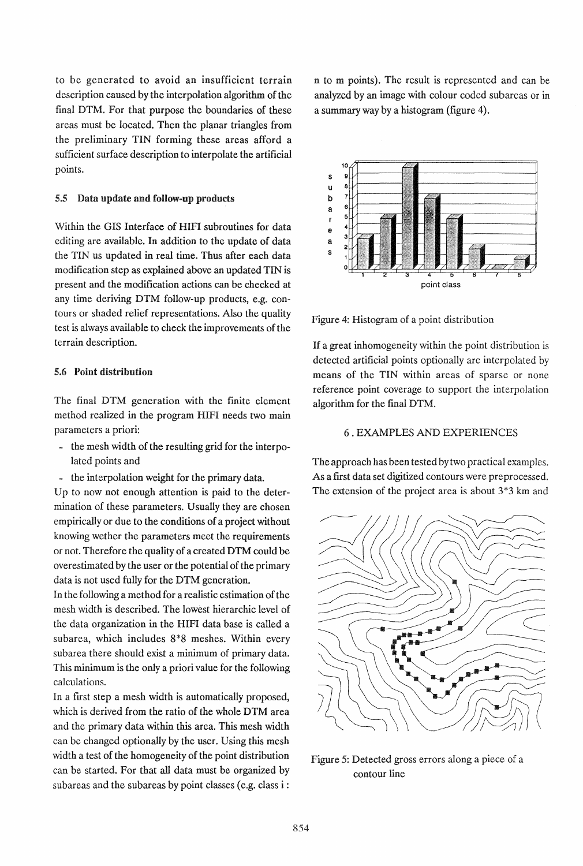to be generated to avoid an insufficient terrain description caused by the interpolation algorithm of the final DTM. For that purpose the boundaries of these areas must be located. Then the planar triangles from the preliminary TIN forming these areas afford a sufficient surface description to interpolate the artificial points.

#### 5.5 Data update and follow-up products

Within the GIS Interface of HIFI subroutines for data editing are available. In addition to the update of data the TIN us updated in real time. Thus after each data modification step as explained above an updated TIN is present and the modification actions can be checked at any time deriving DTM follow-up products, e.g. contours or shaded relief representations. Also the quality test is always available to check the improvements of the terrain description.

### 5.6 Point distribution

The final DTM generation with the finite element method realized in the program HIFI needs two main parameters a priori:

- .. the mesh width of the resulting grid for the interpolated points and
- .. the interpolation weight for the primary data.

Up to now not enough attention is paid to the determination of these parameters. Usually they are chosen empirically or due to the conditions of a project without knowing wether the parameters meet the requirements or not. Therefore the quality of a created DTM could be overestimated by the user or the potential of the primary data is not used fully for the DTM generation.

In the following a method for a realistic estimation of the mesh width is described. The lowest hierarchic level of the data organization in the HIFI data base is called a subarea, which includes 8\*8 meshes. Within every subarea there should exist a minimum of primary data. This minimum is the only a priori value for the following calculations.

In a first step a mesh width is automatically proposed, which is derived from the ratio of the whole DTM area and the primary data within this area. This mesh width can be changed optionally by the user. Using this mesh width a test of the homogeneity of the point distribution can be started. For that all data must be organized by subareas and the subareas by point classes (e.g. class i :

n to m points). The result is represented and can be analyzed by an image with colour coded subareas or in a summary way by a histogram (figure 4).



Figure 4: Histogram of a point distribution

If a great inhomogeneity within the point distribution is detected artificial points optionally are interpolated by means of the TIN within areas of sparse or none reference point coverage to support the interpolation algorithm for the final DTM.

### 6 . EXAMPLES AND EXPERIENCES

The approach has been tested by two practical examples. As a first data set digitized contours were preprocessed. The extension of the project area is about 3\*3 km and



Figure 5: Detected gross errors along a piece of a contour line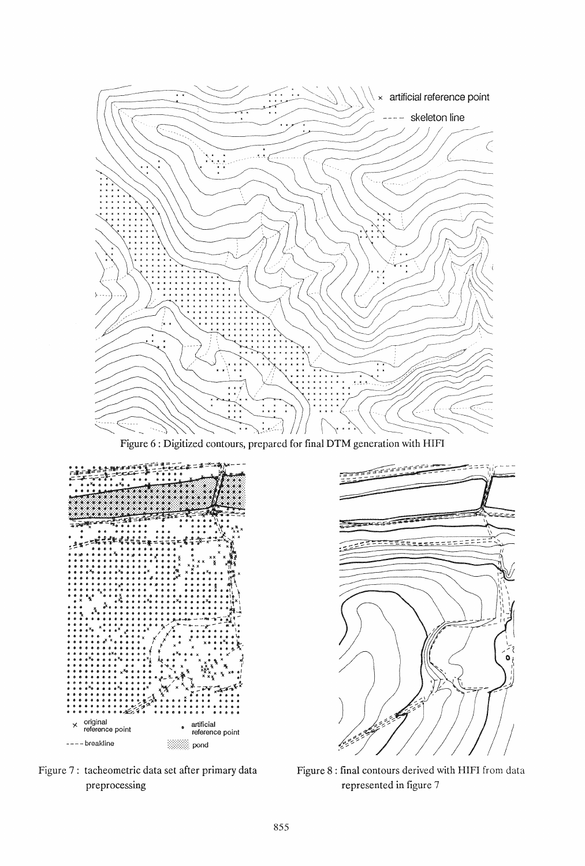

Figure 6 : Digitized contours, prepared for final DTM generation with HIFI



Figure 7: tacheometric data set after primary data preprocessing



Figure 8 : final contours derived with HIFI from data represented in figure 7